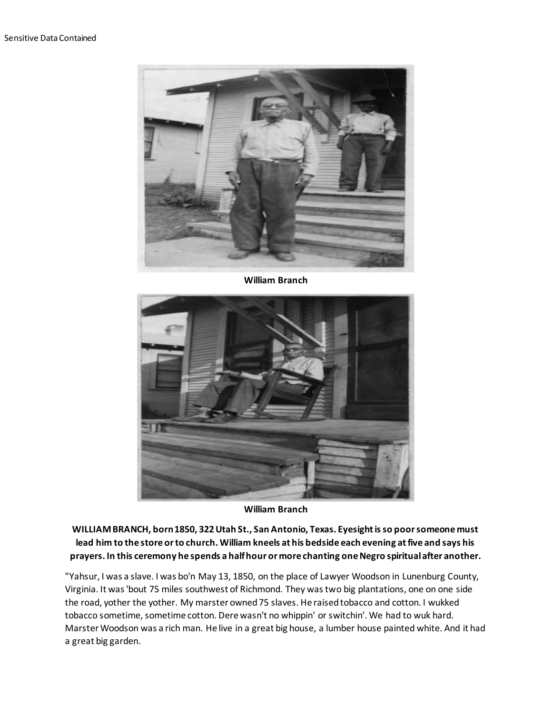

**William Branch**



**William Branch**

**WILLIAM BRANCH, born 1850, 322 Utah St., San Antonio, Texas. Eyesight is so poor someone must lead him to the store or to church. William kneels at his bedside each evening at five and says his prayers. In this ceremony he spends a half hour or more chanting one Negro spiritual after another.**

"Yahsur, I was a slave. I was bo'n May 13, 1850, on the place of Lawyer Woodson in Lunenburg County, Virginia. It was 'bout 75 miles southwest of Richmond. They was two big plantations, one on one side the road, yother the yother. My marster owned 75 slaves. He raised tobacco and cotton. I wukked tobacco sometime, sometime cotton. Dere wasn't no whippin' or switchin'. We had to wuk hard. Marster Woodson was a rich man. He live in a great big house, a lumber house painted white. And it had a great big garden.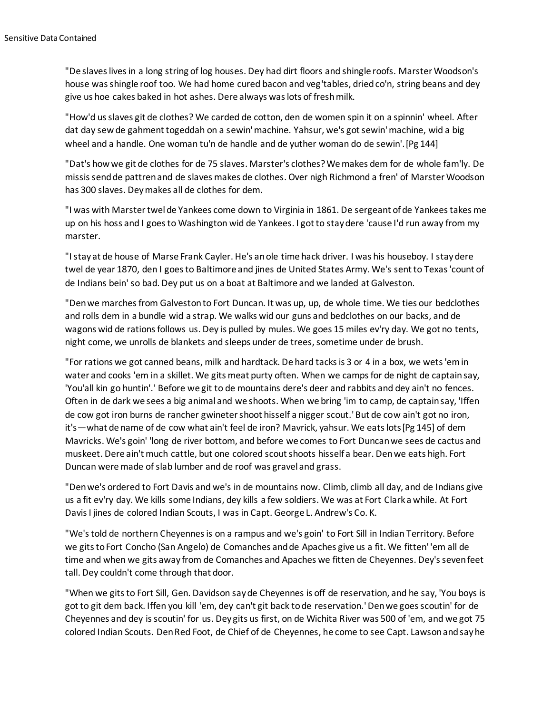"De slaves lives in a long string of log houses. Dey had dirt floors and shingle roofs. Marster Woodson's house was shingle roof too. We had home cured bacon and veg'tables, dried co'n, string beans and dey give us hoe cakes baked in hot ashes. Dere always was lots of fresh milk.

"How'd us slaves git de clothes? We carded de cotton, den de women spin it on a spinnin' wheel. After dat day sew de gahment togeddah on a sewin' machine. Yahsur, we's got sewin' machine, wid a big wheel and a handle. One woman tu'n de handle and de yuther woman do de sewin'.[Pg 144]

"Dat's how we git de clothes for de 75 slaves. Marster's clothes? We makes dem for de whole fam'ly. De missis send de pattren and de slaves makes de clothes. Over nigh Richmond a fren' of Marster Woodson has 300 slaves. Dey makes all de clothes for dem.

"I was with Marster twel de Yankees come down to Virginia in 1861. De sergeant of de Yankees takes me up on his hoss and I goes to Washington wid de Yankees. I got to stay dere 'cause I'd run away from my marster.

"I stay at de house of Marse Frank Cayler. He's an ole time hack driver. I was his houseboy. I stay dere twel de year 1870, den I goes to Baltimore and jines de United States Army. We's sent to Texas 'count of de Indians bein' so bad. Dey put us on a boat at Baltimore and we landed at Galveston.

"Den we marches from Galveston to Fort Duncan. It was up, up, de whole time. We ties our bedclothes and rolls dem in a bundle wid a strap. We walks wid our guns and bedclothes on our backs, and de wagons wid de rations follows us. Dey is pulled by mules. We goes 15 miles ev'ry day. We got no tents, night come, we unrolls de blankets and sleeps under de trees, sometime under de brush.

"For rations we got canned beans, milk and hardtack. De hard tacks is 3 or 4 in a box, we wets 'em in water and cooks 'em in a skillet. We gits meat purty often. When we camps for de night de captain say, 'You'all kin go huntin'.' Before we git to de mountains dere's deer and rabbits and dey ain't no fences. Often in de dark we sees a big animal and we shoots. When we bring 'im to camp, de captain say, 'Iffen de cow got iron burns de rancher gwineter shoot hisself a nigger scout.' But de cow ain't got no iron, it's—what de name of de cow what ain't feel de iron? Mavrick, yahsur. We eats lots[Pg 145] of dem Mavricks. We's goin' 'long de river bottom, and before we comes to Fort Duncan we sees de cactus and muskeet. Dere ain't much cattle, but one colored scout shoots hisself a bear. Den we eats high. Fort Duncan were made of slab lumber and de roof was gravel and grass.

"Den we's ordered to Fort Davis and we's in de mountains now. Climb, climb all day, and de Indians give us a fit ev'ry day. We kills some Indians, dey kills a few soldiers. We was at Fort Clark a while. At Fort Davis I jines de colored Indian Scouts, I was in Capt. George L. Andrew's Co. K.

"We's told de northern Cheyennes is on a rampus and we's goin' to Fort Sill in Indian Territory. Before we gits to Fort Concho (San Angelo) de Comanches and de Apaches give us a fit. We fitten' 'em all de time and when we gits away from de Comanches and Apaches we fitten de Cheyennes. Dey's seven feet tall. Dey couldn't come through that door.

"When we gits to Fort Sill, Gen. Davidson say de Cheyennes is off de reservation, and he say, 'You boys is got to git dem back. Iffen you kill 'em, dey can't git back to de reservation.' Den we goes scoutin' for de Cheyennes and dey is scoutin' for us. Dey gits us first, on de Wichita River was 500 of 'em, and we got 75 colored Indian Scouts. Den Red Foot, de Chief of de Cheyennes, he come to see Capt. Lawson and say he